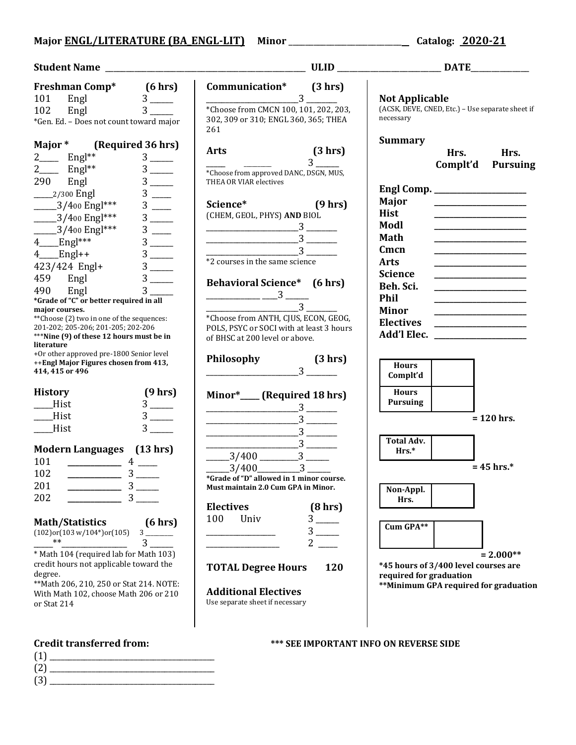## **Major ENGL/LITERATURE (BA\_ENGL-LIT) Minor** \_\_\_\_\_\_\_\_\_\_\_\_\_\_\_\_\_\_\_\_\_\_\_\_\_\_\_ **Catalog: 2020-21**

| <b>Freshman Comp*</b> (6 hrs)<br>101 Engl 3 _____<br>102 Engl 3 _____                                                                       |                        | Communication* (3 hrs)                                                                                                                                                                                                                                                                                              |                                  |                         |                                                                                                                                                                                                                                      |
|---------------------------------------------------------------------------------------------------------------------------------------------|------------------------|---------------------------------------------------------------------------------------------------------------------------------------------------------------------------------------------------------------------------------------------------------------------------------------------------------------------|----------------------------------|-------------------------|--------------------------------------------------------------------------------------------------------------------------------------------------------------------------------------------------------------------------------------|
|                                                                                                                                             |                        | $\frac{1}{2}$ $\frac{3}{2}$ $\frac{1}{2}$                                                                                                                                                                                                                                                                           |                                  | <b>Not Applicable</b>   |                                                                                                                                                                                                                                      |
|                                                                                                                                             |                        | *Choose from CMCN 100, 101, 202, 203,                                                                                                                                                                                                                                                                               |                                  |                         | (ACSK, DEVE, CNED, Etc.) - Use separate sheet if                                                                                                                                                                                     |
| *Gen. Ed. - Does not count toward major                                                                                                     |                        | 302, 309 or 310; ENGL 360, 365; THEA<br>261                                                                                                                                                                                                                                                                         |                                  | necessary               |                                                                                                                                                                                                                                      |
| Major * (Required 36 hrs)                                                                                                                   |                        |                                                                                                                                                                                                                                                                                                                     | (3 hr)                           | <b>Summary</b>          |                                                                                                                                                                                                                                      |
| $2$ <sub>____</sub> Engl <sup>**</sup>                                                                                                      | $3$ —                  | <b>Arts</b>                                                                                                                                                                                                                                                                                                         | $3^{\circ}$                      |                         | Hrs.<br>Hrs.                                                                                                                                                                                                                         |
| $2$ <sub>____</sub> Engl <sup>**</sup>                                                                                                      | $3$ —                  | $\frac{1}{2}$<br>*Choose from approved DANC, DSGN, MUS,                                                                                                                                                                                                                                                             |                                  |                         | Complt'd<br><b>Pursuing</b>                                                                                                                                                                                                          |
| 290 Engl                                                                                                                                    |                        | THEA OR VIAR electives                                                                                                                                                                                                                                                                                              |                                  |                         |                                                                                                                                                                                                                                      |
| _____2/300 Engl                                                                                                                             |                        |                                                                                                                                                                                                                                                                                                                     |                                  |                         |                                                                                                                                                                                                                                      |
| $2/400$ Engl***                                                                                                                             | $3$ —                  | Science* (9 hrs)                                                                                                                                                                                                                                                                                                    |                                  | Major                   | <u>state and the control of the control of the control of the control of the control of the control of the control of the control of the control of the control of the control of the control of the control of the control of t</u> |
| $-3/400$ Engl***                                                                                                                            |                        | (CHEM, GEOL, PHYS) AND BIOL                                                                                                                                                                                                                                                                                         |                                  | <b>Hist</b>             |                                                                                                                                                                                                                                      |
| $-3/400$ Engl***                                                                                                                            | $\frac{3}{3}$          |                                                                                                                                                                                                                                                                                                                     |                                  | Modl                    | <u> 1980 - Johann Barbara, martin amerikan basar da</u>                                                                                                                                                                              |
| $4$ Engl***                                                                                                                                 |                        | $\overbrace{\hspace{2.5cm}}^3$                                                                                                                                                                                                                                                                                      |                                  | Math                    |                                                                                                                                                                                                                                      |
| $4$ Engl++                                                                                                                                  |                        | $\frac{1}{3}$ $\frac{1}{3}$ $\frac{1}{3}$ $\frac{1}{3}$ $\frac{1}{3}$ $\frac{1}{3}$ $\frac{1}{3}$ $\frac{1}{3}$ $\frac{1}{3}$ $\frac{1}{3}$ $\frac{1}{3}$ $\frac{1}{3}$ $\frac{1}{3}$ $\frac{1}{3}$ $\frac{1}{3}$ $\frac{1}{3}$ $\frac{1}{3}$ $\frac{1}{3}$ $\frac{1}{3}$ $\frac{1}{3}$ $\frac{1}{3}$ $\frac{1}{3}$ |                                  | Cmcn                    |                                                                                                                                                                                                                                      |
|                                                                                                                                             |                        | *2 courses in the same science                                                                                                                                                                                                                                                                                      |                                  | <b>Arts</b>             |                                                                                                                                                                                                                                      |
| $423/424$ Engl+                                                                                                                             |                        |                                                                                                                                                                                                                                                                                                                     |                                  | <b>Science</b>          |                                                                                                                                                                                                                                      |
| 459 Engl                                                                                                                                    | $3$ —                  | <b>Behavioral Science*</b> (6 hrs)                                                                                                                                                                                                                                                                                  |                                  | Beh. Sci.               |                                                                                                                                                                                                                                      |
| Engl<br>490<br>*Grade of "C" or better required in all                                                                                      | $3^{\circ}$            | $\frac{1}{2}$ $\frac{3}{2}$ $\frac{3}{2}$ $\frac{3}{2}$ $\frac{3}{2}$ $\frac{3}{2}$ $\frac{3}{2}$ $\frac{3}{2}$ $\frac{3}{2}$ $\frac{3}{2}$ $\frac{3}{2}$ $\frac{3}{2}$ $\frac{3}{2}$ $\frac{3}{2}$ $\frac{3}{2}$ $\frac{3}{2}$ $\frac{3}{2}$ $\frac{3}{2}$ $\frac{3}{2}$ $\frac{3}{2}$ $\frac{3}{2}$ $\frac{3}{2}$ |                                  | Phil                    |                                                                                                                                                                                                                                      |
| major courses.                                                                                                                              |                        | $\frac{1}{3}$                                                                                                                                                                                                                                                                                                       |                                  | <b>Minor</b>            |                                                                                                                                                                                                                                      |
| ** Choose (2) two in one of the sequences:                                                                                                  |                        | *Choose from ANTH, CJUS, ECON, GEOG,                                                                                                                                                                                                                                                                                |                                  |                         | <u> Alexandria de la contrada de la contrada de la contrada de la contrada de la contrada de la contrada de la c</u><br>Electives ___________________                                                                                |
| 201-202; 205-206; 201-205; 202-206                                                                                                          |                        | POLS, PSYC or SOCI with at least 3 hours                                                                                                                                                                                                                                                                            |                                  |                         | Add'l Elec.                                                                                                                                                                                                                          |
| ***Nine (9) of these 12 hours must be in<br>literature                                                                                      |                        | of BHSC at 200 level or above.                                                                                                                                                                                                                                                                                      |                                  |                         |                                                                                                                                                                                                                                      |
|                                                                                                                                             |                        |                                                                                                                                                                                                                                                                                                                     |                                  |                         |                                                                                                                                                                                                                                      |
|                                                                                                                                             |                        |                                                                                                                                                                                                                                                                                                                     |                                  |                         |                                                                                                                                                                                                                                      |
| +Or other approved pre-1800 Senior level<br>++Engl Major Figures chosen from 413,                                                           |                        | Philosophy                                                                                                                                                                                                                                                                                                          | (3 hr)                           | <b>Hours</b>            |                                                                                                                                                                                                                                      |
| 414, 415 or 496                                                                                                                             |                        |                                                                                                                                                                                                                                                                                                                     | $3 \quad \overline{\phantom{1}}$ | Complt'd                |                                                                                                                                                                                                                                      |
|                                                                                                                                             |                        |                                                                                                                                                                                                                                                                                                                     |                                  |                         |                                                                                                                                                                                                                                      |
|                                                                                                                                             | (9 hrs)                | Minor*____(Required 18 hrs)                                                                                                                                                                                                                                                                                         |                                  | <b>Hours</b>            |                                                                                                                                                                                                                                      |
| _Hist                                                                                                                                       | $3$ —                  |                                                                                                                                                                                                                                                                                                                     |                                  | <b>Pursuing</b>         |                                                                                                                                                                                                                                      |
| Hist                                                                                                                                        | $3$ —                  | $\frac{1}{3}$ $\frac{1}{3}$ $\frac{1}{3}$ $\frac{1}{3}$ $\frac{1}{3}$ $\frac{1}{3}$ $\frac{1}{3}$ $\frac{1}{3}$ $\frac{1}{3}$ $\frac{1}{3}$ $\frac{1}{3}$ $\frac{1}{3}$ $\frac{1}{3}$ $\frac{1}{3}$ $\frac{1}{3}$ $\frac{1}{3}$ $\frac{1}{3}$ $\frac{1}{3}$ $\frac{1}{3}$ $\frac{1}{3}$ $\frac{1}{3}$ $\frac{1}{3}$ |                                  |                         | $= 120$ hrs.                                                                                                                                                                                                                         |
| Hist                                                                                                                                        |                        | $\frac{1}{2}$ $\frac{1}{2}$ $\frac{1}{2}$ $\frac{1}{2}$ $\frac{1}{2}$ $\frac{1}{2}$ $\frac{1}{2}$ $\frac{1}{2}$ $\frac{1}{2}$ $\frac{1}{2}$ $\frac{1}{2}$ $\frac{1}{2}$ $\frac{1}{2}$ $\frac{1}{2}$ $\frac{1}{2}$ $\frac{1}{2}$ $\frac{1}{2}$ $\frac{1}{2}$ $\frac{1}{2}$ $\frac{1}{2}$ $\frac{1}{2}$ $\frac{1}{2}$ |                                  |                         |                                                                                                                                                                                                                                      |
|                                                                                                                                             |                        |                                                                                                                                                                                                                                                                                                                     |                                  | <b>Total Adv.</b>       |                                                                                                                                                                                                                                      |
|                                                                                                                                             |                        |                                                                                                                                                                                                                                                                                                                     |                                  | $Hrs.*$                 |                                                                                                                                                                                                                                      |
|                                                                                                                                             |                        | $\frac{3}{\frac{3}{400}}$                                                                                                                                                                                                                                                                                           |                                  |                         | $= 45$ hrs.*                                                                                                                                                                                                                         |
|                                                                                                                                             |                        | $\frac{3}{400}$ $\frac{3}{400}$ $\frac{3}{400}$ $\frac{3}{400}$ $\frac{3}{400}$ $\frac{3}{400}$ $\frac{3}{400}$ $\frac{4}{400}$ $\frac{3}{400}$ $\frac{4}{400}$ $\frac{3}{400}$ $\frac{4}{400}$ $\frac{3}{400}$ $\frac{4}{400}$ $\frac{3}{400}$ $\frac{4}{400}$ $\frac{3}{400}$ $\frac{4}{400}$ $\frac{3$           |                                  |                         |                                                                                                                                                                                                                                      |
| $\frac{3}{2}$                                                                                                                               |                        | Must maintain 2.0 Cum GPA in Minor.                                                                                                                                                                                                                                                                                 |                                  | Non-Appl.               |                                                                                                                                                                                                                                      |
|                                                                                                                                             | 3 <sup>7</sup>         |                                                                                                                                                                                                                                                                                                                     |                                  | Hrs.                    |                                                                                                                                                                                                                                      |
|                                                                                                                                             |                        | <b>Electives</b>                                                                                                                                                                                                                                                                                                    | (8 hrs)                          |                         |                                                                                                                                                                                                                                      |
|                                                                                                                                             | (6 hrs)                | 100<br>Univ                                                                                                                                                                                                                                                                                                         |                                  | Cum GPA**               |                                                                                                                                                                                                                                      |
| $**$                                                                                                                                        |                        |                                                                                                                                                                                                                                                                                                                     |                                  |                         |                                                                                                                                                                                                                                      |
| <b>History</b><br><b>Modern Languages</b> (13 hrs)<br>102<br>201<br>202<br>Math/Statistics<br>$(102)$ or $(103 \text{ w}/104^*)$ or $(105)$ | $3 \quad \blacksquare$ |                                                                                                                                                                                                                                                                                                                     | $2 \left( \frac{1}{2} \right)$   |                         |                                                                                                                                                                                                                                      |
|                                                                                                                                             |                        |                                                                                                                                                                                                                                                                                                                     |                                  |                         | $= 2.000**$                                                                                                                                                                                                                          |
|                                                                                                                                             |                        | <b>TOTAL Degree Hours</b>                                                                                                                                                                                                                                                                                           | 120                              |                         | *45 hours of 3/400 level courses are                                                                                                                                                                                                 |
| * Math 104 (required lab for Math 103)<br>credit hours not applicable toward the<br>degree.<br>** Math 206, 210, 250 or Stat 214. NOTE:     |                        |                                                                                                                                                                                                                                                                                                                     |                                  | required for graduation |                                                                                                                                                                                                                                      |
| With Math 102, choose Math 206 or 210<br>or Stat 214                                                                                        |                        | <b>Additional Electives</b><br>Use separate sheet if necessary                                                                                                                                                                                                                                                      |                                  |                         | **Minimum GPA required for graduation                                                                                                                                                                                                |

**Credit transferred from: \*\*\* SEE IMPORTANT INFO ON REVERSE SIDE**

| -11  |                                              |  |
|------|----------------------------------------------|--|
| 12)  | the control of the control of the control of |  |
| -13) |                                              |  |